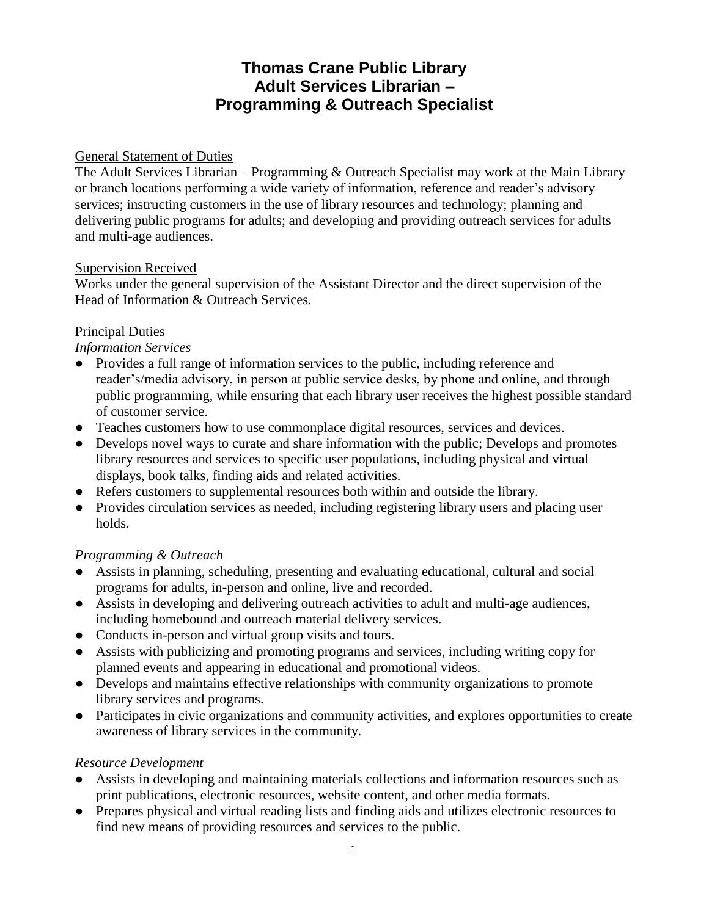# **Thomas Crane Public Library Adult Services Librarian – Programming & Outreach Specialist**

### General Statement of Duties

The Adult Services Librarian – Programming & Outreach Specialist may work at the Main Library or branch locations performing a wide variety of information, reference and reader's advisory services; instructing customers in the use of library resources and technology; planning and delivering public programs for adults; and developing and providing outreach services for adults and multi-age audiences.

#### Supervision Received

Works under the general supervision of the Assistant Director and the direct supervision of the Head of Information & Outreach Services.

### Principal Duties

#### *Information Services*

- Provides a full range of information services to the public, including reference and reader's/media advisory, in person at public service desks, by phone and online, and through public programming, while ensuring that each library user receives the highest possible standard of customer service.
- Teaches customers how to use commonplace digital resources, services and devices.
- Develops novel ways to curate and share information with the public; Develops and promotes library resources and services to specific user populations, including physical and virtual displays, book talks, finding aids and related activities.
- Refers customers to supplemental resources both within and outside the library.
- Provides circulation services as needed, including registering library users and placing user holds.

### *Programming & Outreach*

- Assists in planning, scheduling, presenting and evaluating educational, cultural and social programs for adults, in-person and online, live and recorded.
- Assists in developing and delivering outreach activities to adult and multi-age audiences, including homebound and outreach material delivery services.
- Conducts in-person and virtual group visits and tours.
- Assists with publicizing and promoting programs and services, including writing copy for planned events and appearing in educational and promotional videos.
- Develops and maintains effective relationships with community organizations to promote library services and programs.
- Participates in civic organizations and community activities, and explores opportunities to create awareness of library services in the community.

#### *Resource Development*

- Assists in developing and maintaining materials collections and information resources such as print publications, electronic resources, website content, and other media formats.
- Prepares physical and virtual reading lists and finding aids and utilizes electronic resources to find new means of providing resources and services to the public.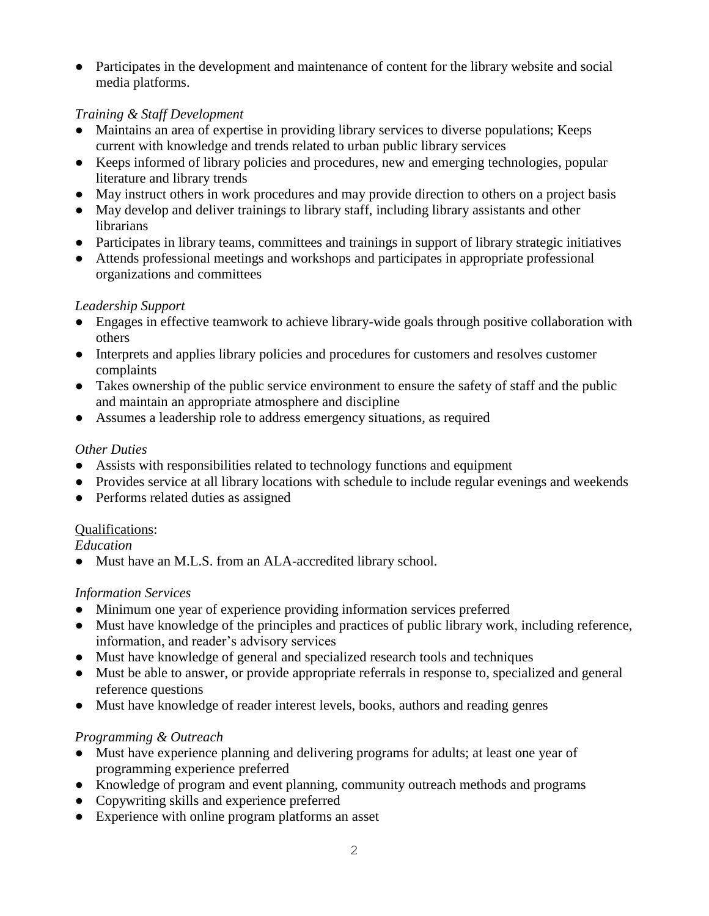● Participates in the development and maintenance of content for the library website and social media platforms.

### *Training & Staff Development*

- Maintains an area of expertise in providing library services to diverse populations; Keeps current with knowledge and trends related to urban public library services
- Keeps informed of library policies and procedures, new and emerging technologies, popular literature and library trends
- May instruct others in work procedures and may provide direction to others on a project basis
- May develop and deliver trainings to library staff, including library assistants and other **librarians**
- Participates in library teams, committees and trainings in support of library strategic initiatives
- Attends professional meetings and workshops and participates in appropriate professional organizations and committees

### *Leadership Support*

- Engages in effective teamwork to achieve library-wide goals through positive collaboration with others
- Interprets and applies library policies and procedures for customers and resolves customer complaints
- Takes ownership of the public service environment to ensure the safety of staff and the public and maintain an appropriate atmosphere and discipline
- Assumes a leadership role to address emergency situations, as required

# *Other Duties*

- Assists with responsibilities related to technology functions and equipment
- Provides service at all library locations with schedule to include regular evenings and weekends
- Performs related duties as assigned

# Qualifications:

*Education* 

• Must have an M.L.S. from an ALA-accredited library school.

# *Information Services*

- Minimum one year of experience providing information services preferred
- Must have knowledge of the principles and practices of public library work, including reference, information, and reader's advisory services
- Must have knowledge of general and specialized research tools and techniques
- Must be able to answer, or provide appropriate referrals in response to, specialized and general reference questions
- Must have knowledge of reader interest levels, books, authors and reading genres

# *Programming & Outreach*

- Must have experience planning and delivering programs for adults; at least one year of programming experience preferred
- Knowledge of program and event planning, community outreach methods and programs
- Copywriting skills and experience preferred
- Experience with online program platforms an asset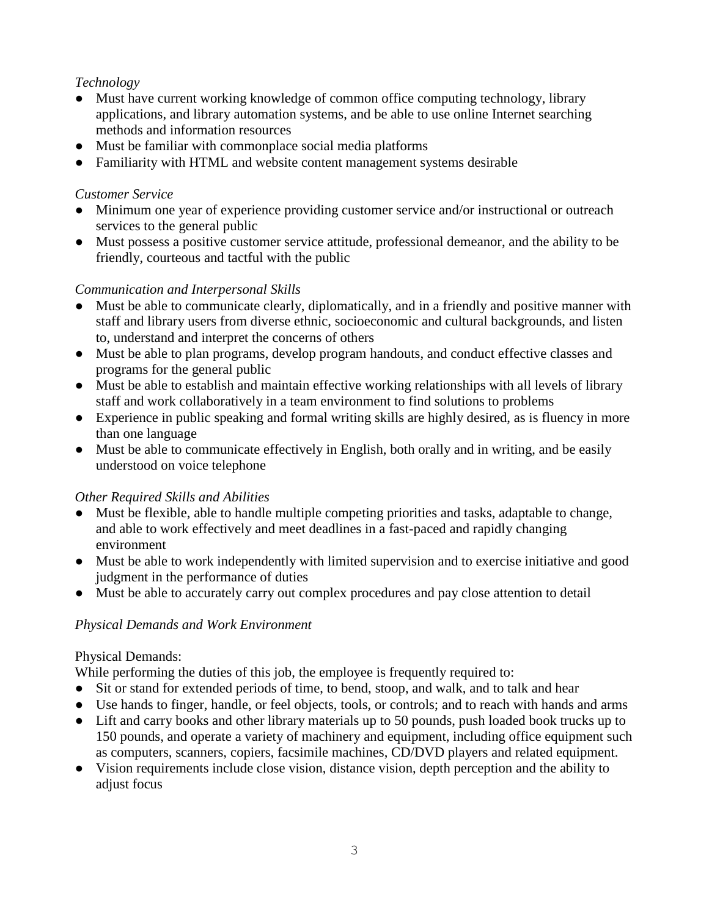# *Technology*

- Must have current working knowledge of common office computing technology, library applications, and library automation systems, and be able to use online Internet searching methods and information resources
- Must be familiar with commonplace social media platforms
- Familiarity with HTML and website content management systems desirable

#### *Customer Service*

- Minimum one year of experience providing customer service and/or instructional or outreach services to the general public
- Must possess a positive customer service attitude, professional demeanor, and the ability to be friendly, courteous and tactful with the public

#### *Communication and Interpersonal Skills*

- Must be able to communicate clearly, diplomatically, and in a friendly and positive manner with staff and library users from diverse ethnic, socioeconomic and cultural backgrounds, and listen to, understand and interpret the concerns of others
- Must be able to plan programs, develop program handouts, and conduct effective classes and programs for the general public
- Must be able to establish and maintain effective working relationships with all levels of library staff and work collaboratively in a team environment to find solutions to problems
- Experience in public speaking and formal writing skills are highly desired, as is fluency in more than one language
- Must be able to communicate effectively in English, both orally and in writing, and be easily understood on voice telephone

### *Other Required Skills and Abilities*

- Must be flexible, able to handle multiple competing priorities and tasks, adaptable to change, and able to work effectively and meet deadlines in a fast-paced and rapidly changing environment
- Must be able to work independently with limited supervision and to exercise initiative and good judgment in the performance of duties
- Must be able to accurately carry out complex procedures and pay close attention to detail

### *Physical Demands and Work Environment*

#### Physical Demands:

While performing the duties of this job, the employee is frequently required to:

- Sit or stand for extended periods of time, to bend, stoop, and walk, and to talk and hear
- Use hands to finger, handle, or feel objects, tools, or controls; and to reach with hands and arms
- Lift and carry books and other library materials up to 50 pounds, push loaded book trucks up to 150 pounds, and operate a variety of machinery and equipment, including office equipment such as computers, scanners, copiers, facsimile machines, CD/DVD players and related equipment.
- Vision requirements include close vision, distance vision, depth perception and the ability to adjust focus